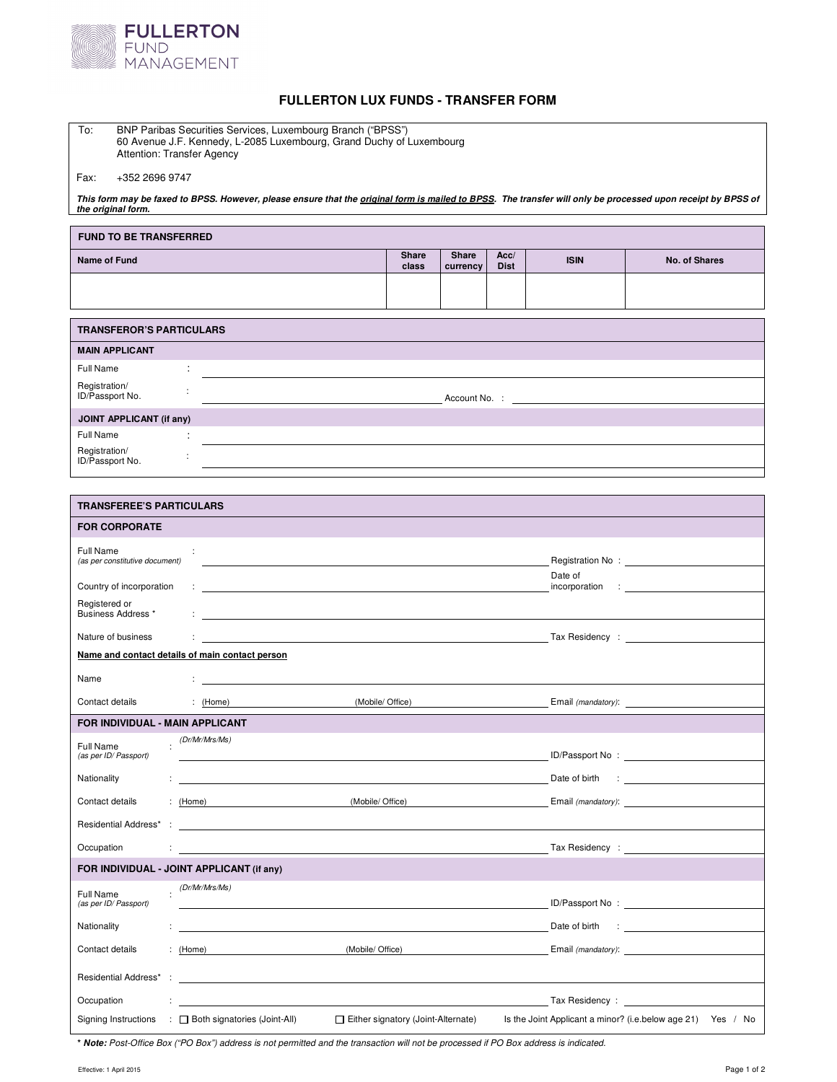

# **FULLERTON LUX FUNDS - TRANSFER FORM**

| To: | BNP Paribas Securities Services, Luxembourg Branch ("BPSS")          |
|-----|----------------------------------------------------------------------|
|     | 60 Avenue J.F. Kennedy, L-2085 Luxembourg, Grand Duchy of Luxembourg |
|     | Attention: Transfer Agency                                           |

## Fax: +352 2696 9747

*This form may be faxed to BPSS. However, please ensure that the original form is mailed to BPSS. The transfer will only be processed upon receipt by BPSS of the original form.*

| <b>FUND TO BE TRANSFERRED</b> |                |                          |                     |             |               |  |
|-------------------------------|----------------|--------------------------|---------------------|-------------|---------------|--|
| Name of Fund                  | Share<br>class | <b>Share</b><br>currency | Acc/<br><b>Dist</b> | <b>ISIN</b> | No. of Shares |  |
|                               |                |                          |                     |             |               |  |

| <b>TRANSFEROR'S PARTICULARS</b>  |                      |               |  |
|----------------------------------|----------------------|---------------|--|
| <b>MAIN APPLICANT</b>            |                      |               |  |
| Full Name                        | ٠                    |               |  |
| Registration/<br>ID/Passport No. |                      | Account No. : |  |
| JOINT APPLICANT (if any)         |                      |               |  |
| Full Name                        | $\cdot$              |               |  |
| Registration/<br>ID/Passport No. | $\ddot{\phantom{a}}$ |               |  |
|                                  |                      |               |  |

| TRANSFEREE'S PARTICULARS                                                                                 |                                                                                                                 |                                                                                                                         |                                                                                                                                                                                                                                                                  |  |  |  |
|----------------------------------------------------------------------------------------------------------|-----------------------------------------------------------------------------------------------------------------|-------------------------------------------------------------------------------------------------------------------------|------------------------------------------------------------------------------------------------------------------------------------------------------------------------------------------------------------------------------------------------------------------|--|--|--|
| <b>FOR CORPORATE</b>                                                                                     |                                                                                                                 |                                                                                                                         |                                                                                                                                                                                                                                                                  |  |  |  |
| Full Name<br>(as per constitutive document)<br><u> 1989 - John Stein, Amerikaansk politiker (* 1958)</u> |                                                                                                                 |                                                                                                                         | Registration No :                                                                                                                                                                                                                                                |  |  |  |
| Country of incorporation                                                                                 |                                                                                                                 |                                                                                                                         | Date of<br>incorporation<br><u>and the company of the company of the company of the company of the company of the company of the company of the company of the company of the company of the company of the company of the company of the company of the com</u> |  |  |  |
| Registered or<br>Business Address *                                                                      |                                                                                                                 |                                                                                                                         |                                                                                                                                                                                                                                                                  |  |  |  |
| Nature of business                                                                                       |                                                                                                                 | <u> 1980 - Johann Barn, fransk politik (d. 1980)</u>                                                                    |                                                                                                                                                                                                                                                                  |  |  |  |
|                                                                                                          | Name and contact details of main contact person                                                                 |                                                                                                                         |                                                                                                                                                                                                                                                                  |  |  |  |
| Name                                                                                                     |                                                                                                                 |                                                                                                                         |                                                                                                                                                                                                                                                                  |  |  |  |
| Contact details                                                                                          | : (Home)                                                                                                        | (Mobile/ Office)                                                                                                        |                                                                                                                                                                                                                                                                  |  |  |  |
| FOR INDIVIDUAL - MAIN APPLICANT                                                                          |                                                                                                                 |                                                                                                                         |                                                                                                                                                                                                                                                                  |  |  |  |
| Full Name<br>(as per ID/ Passport)                                                                       | (Dr/Mr/Mrs/Ms)                                                                                                  |                                                                                                                         |                                                                                                                                                                                                                                                                  |  |  |  |
| Nationality                                                                                              |                                                                                                                 |                                                                                                                         | Date of birth<br><b>Contract Contract Contract</b>                                                                                                                                                                                                               |  |  |  |
| Contact details                                                                                          | : (Home)                                                                                                        | (Mobile/ Office)                                                                                                        | Email (mandatory):                                                                                                                                                                                                                                               |  |  |  |
| Residential Address* :                                                                                   |                                                                                                                 | <u> 1989 - Johann John Stein, markin fizik eta idazlear (h. 1989).</u>                                                  |                                                                                                                                                                                                                                                                  |  |  |  |
| Occupation                                                                                               |                                                                                                                 |                                                                                                                         |                                                                                                                                                                                                                                                                  |  |  |  |
|                                                                                                          | FOR INDIVIDUAL - JOINT APPLICANT (if any)                                                                       |                                                                                                                         |                                                                                                                                                                                                                                                                  |  |  |  |
| Full Name<br>(as per ID/ Passport)                                                                       | (Dr/Mr/Mrs/Ms)                                                                                                  |                                                                                                                         |                                                                                                                                                                                                                                                                  |  |  |  |
| Nationality                                                                                              |                                                                                                                 | <u> 1990 - Jan James James Jan James James James James James James James James James James James James James Jam</u> es | Date of birth                                                                                                                                                                                                                                                    |  |  |  |
| Contact details                                                                                          | : (Home)                                                                                                        | (Mobile/ Office)                                                                                                        |                                                                                                                                                                                                                                                                  |  |  |  |
| Residential Address*                                                                                     | the contract of the contract of the contract of the contract of the contract of the contract of the contract of |                                                                                                                         |                                                                                                                                                                                                                                                                  |  |  |  |
| Occupation                                                                                               |                                                                                                                 |                                                                                                                         |                                                                                                                                                                                                                                                                  |  |  |  |
| Signing Instructions                                                                                     | $\Box$ Both signatories (Joint-All)                                                                             | $\Box$ Either signatory (Joint-Alternate)                                                                               | Is the Joint Applicant a minor? (i.e.below age 21) Yes / No                                                                                                                                                                                                      |  |  |  |

**\*** *Note:* Post-Office Box ("PO Box") address is not permitted and the transaction will not be processed if PO Box address is indicated.